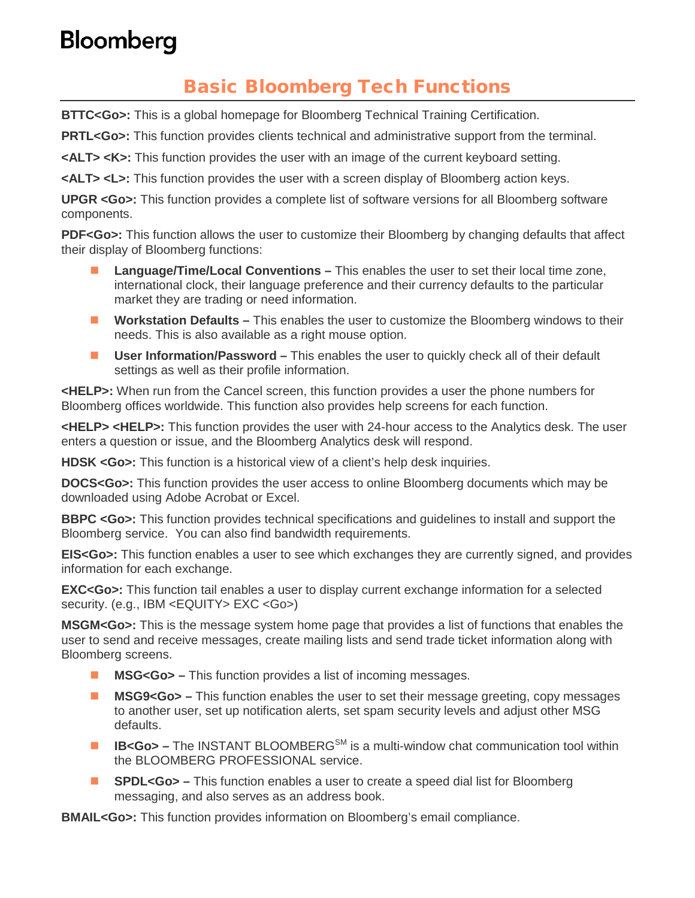## **Bloomberg**

## Basic Bloomberg Tech Functions

**BTTC<Go>:** This is a global homepage for Bloomberg Technical Training Certification.

**PRTL<Go>:** This function provides clients technical and administrative support from the terminal.

**<ALT> <K>:** This function provides the user with an image of the current keyboard setting.

**<ALT> <L>:** This function provides the user with a screen display of Bloomberg action keys.

**UPGR <Go>:** This function provides a complete list of software versions for all Bloomberg software components.

**PDF<Go>:** This function allows the user to customize their Bloomberg by changing defaults that affect their display of Bloomberg functions:

- **Language/Time/Local Conventions –** This enables the user to set their local time zone, international clock, their language preference and their currency defaults to the particular market they are trading or need information.
- **Workstation Defaults –** This enables the user to customize the Bloomberg windows to their needs. This is also available as a right mouse option.
- User Information/Password This enables the user to quickly check all of their default settings as well as their profile information.

**<HELP>:** When run from the Cancel screen, this function provides a user the phone numbers for Bloomberg offices worldwide. This function also provides help screens for each function.

**<HELP> <HELP>:** This function provides the user with 24-hour access to the Analytics desk. The user enters a question or issue, and the Bloomberg Analytics desk will respond.

**HDSK <Go>:** This function is a historical view of a client's help desk inquiries.

**DOCS<Go>:** This function provides the user access to online Bloomberg documents which may be downloaded using Adobe Acrobat or Excel.

**BBPC <Go>:** This function provides technical specifications and guidelines to install and support the Bloomberg service. You can also find bandwidth requirements.

**EIS<Go>:** This function enables a user to see which exchanges they are currently signed, and provides information for each exchange.

**EXC<Go>:** This function tail enables a user to display current exchange information for a selected security. (e.g., IBM <EQUITY> EXC <Go>)

**MSGM<Go>:** This is the message system home page that provides a list of functions that enables the user to send and receive messages, create mailing lists and send trade ticket information along with Bloomberg screens.

- **MSG<Go> –** This function provides a list of incoming messages.
- **MSG9<Go> –** This function enables the user to set their message greeting, copy messages to another user, set up notification alerts, set spam security levels and adjust other MSG defaults.
- **IB<Go>** The INSTANT BLOOMBERG<sup>SM</sup> is a multi-window chat communication tool within the BLOOMBERG PROFESSIONAL service.
- **SPDL<Go> –** This function enables a user to create a speed dial list for Bloomberg messaging, and also serves as an address book.

**BMAIL<Go>:** This function provides information on Bloomberg's email compliance.